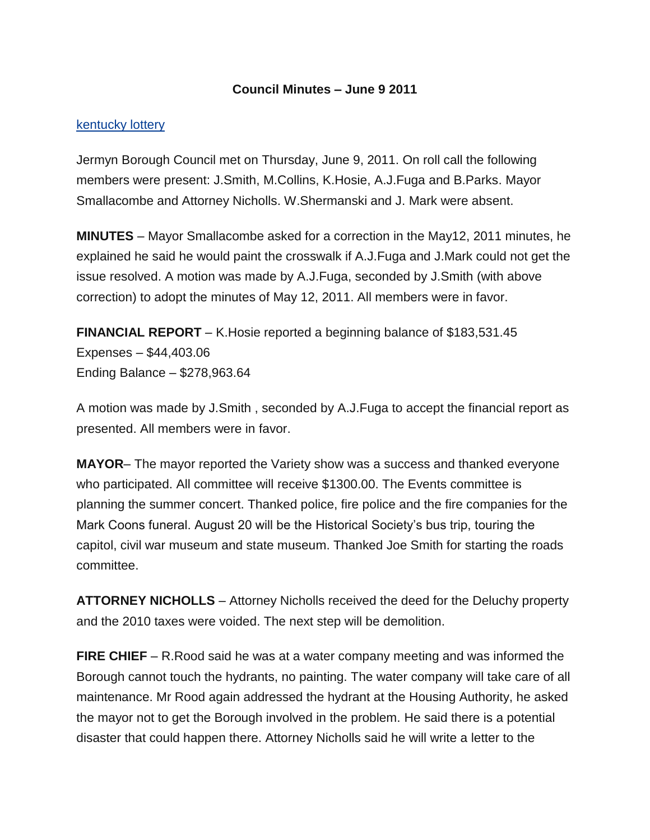## **Council Minutes – June 9 2011**

## [kentucky lottery](http://biolot.org/lottery-kentucky)

Jermyn Borough Council met on Thursday, June 9, 2011. On roll call the following members were present: J.Smith, M.Collins, K.Hosie, A.J.Fuga and B.Parks. Mayor Smallacombe and Attorney Nicholls. W.Shermanski and J. Mark were absent.

**MINUTES** – Mayor Smallacombe asked for a correction in the May12, 2011 minutes, he explained he said he would paint the crosswalk if A.J.Fuga and J.Mark could not get the issue resolved. A motion was made by A.J.Fuga, seconded by J.Smith (with above correction) to adopt the minutes of May 12, 2011. All members were in favor.

**FINANCIAL REPORT** – K.Hosie reported a beginning balance of \$183,531.45 Expenses – \$44,403.06 Ending Balance – \$278,963.64

A motion was made by J.Smith , seconded by A.J.Fuga to accept the financial report as presented. All members were in favor.

**MAYOR**– The mayor reported the Variety show was a success and thanked everyone who participated. All committee will receive \$1300.00. The Events committee is planning the summer concert. Thanked police, fire police and the fire companies for the Mark Coons funeral. August 20 will be the Historical Society's bus trip, touring the capitol, civil war museum and state museum. Thanked Joe Smith for starting the roads committee.

**ATTORNEY NICHOLLS** – Attorney Nicholls received the deed for the Deluchy property and the 2010 taxes were voided. The next step will be demolition.

**FIRE CHIEF** – R.Rood said he was at a water company meeting and was informed the Borough cannot touch the hydrants, no painting. The water company will take care of all maintenance. Mr Rood again addressed the hydrant at the Housing Authority, he asked the mayor not to get the Borough involved in the problem. He said there is a potential disaster that could happen there. Attorney Nicholls said he will write a letter to the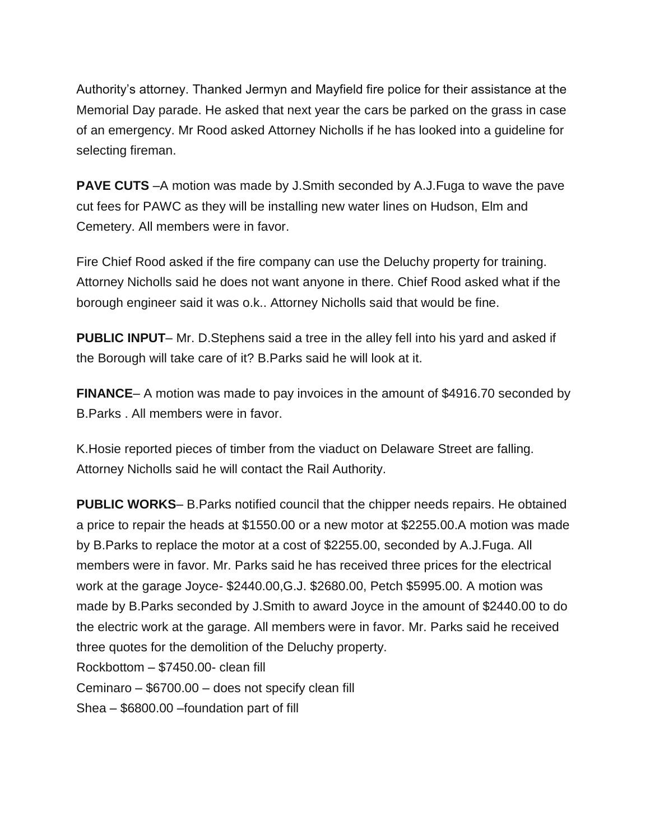Authority's attorney. Thanked Jermyn and Mayfield fire police for their assistance at the Memorial Day parade. He asked that next year the cars be parked on the grass in case of an emergency. Mr Rood asked Attorney Nicholls if he has looked into a guideline for selecting fireman.

**PAVE CUTS** –A motion was made by J.Smith seconded by A.J.Fuga to wave the pave cut fees for PAWC as they will be installing new water lines on Hudson, Elm and Cemetery. All members were in favor.

Fire Chief Rood asked if the fire company can use the Deluchy property for training. Attorney Nicholls said he does not want anyone in there. Chief Rood asked what if the borough engineer said it was o.k.. Attorney Nicholls said that would be fine.

**PUBLIC INPUT**– Mr. D.Stephens said a tree in the alley fell into his yard and asked if the Borough will take care of it? B.Parks said he will look at it.

**FINANCE**– A motion was made to pay invoices in the amount of \$4916.70 seconded by B.Parks . All members were in favor.

K.Hosie reported pieces of timber from the viaduct on Delaware Street are falling. Attorney Nicholls said he will contact the Rail Authority.

**PUBLIC WORKS**– B.Parks notified council that the chipper needs repairs. He obtained a price to repair the heads at \$1550.00 or a new motor at \$2255.00.A motion was made by B.Parks to replace the motor at a cost of \$2255.00, seconded by A.J.Fuga. All members were in favor. Mr. Parks said he has received three prices for the electrical work at the garage Joyce- \$2440.00,G.J. \$2680.00, Petch \$5995.00. A motion was made by B.Parks seconded by J.Smith to award Joyce in the amount of \$2440.00 to do the electric work at the garage. All members were in favor. Mr. Parks said he received three quotes for the demolition of the Deluchy property. Rockbottom – \$7450.00- clean fill Ceminaro – \$6700.00 – does not specify clean fill Shea – \$6800.00 –foundation part of fill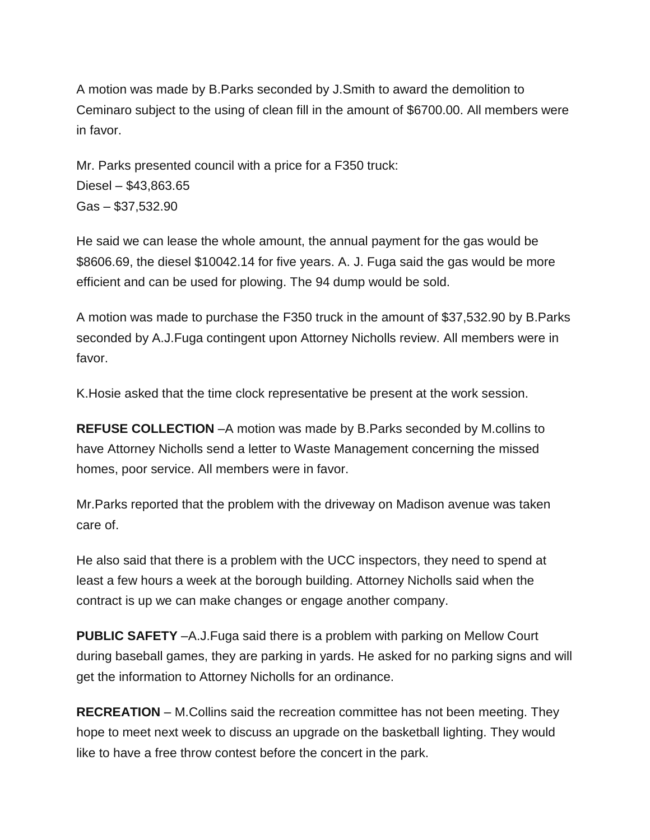A motion was made by B.Parks seconded by J.Smith to award the demolition to Ceminaro subject to the using of clean fill in the amount of \$6700.00. All members were in favor.

Mr. Parks presented council with a price for a F350 truck: Diesel – \$43,863.65 Gas – \$37,532.90

He said we can lease the whole amount, the annual payment for the gas would be \$8606.69, the diesel \$10042.14 for five years. A. J. Fuga said the gas would be more efficient and can be used for plowing. The 94 dump would be sold.

A motion was made to purchase the F350 truck in the amount of \$37,532.90 by B.Parks seconded by A.J.Fuga contingent upon Attorney Nicholls review. All members were in favor.

K.Hosie asked that the time clock representative be present at the work session.

**REFUSE COLLECTION** –A motion was made by B.Parks seconded by M.collins to have Attorney Nicholls send a letter to Waste Management concerning the missed homes, poor service. All members were in favor.

Mr.Parks reported that the problem with the driveway on Madison avenue was taken care of.

He also said that there is a problem with the UCC inspectors, they need to spend at least a few hours a week at the borough building. Attorney Nicholls said when the contract is up we can make changes or engage another company.

**PUBLIC SAFETY** –A.J.Fuga said there is a problem with parking on Mellow Court during baseball games, they are parking in yards. He asked for no parking signs and will get the information to Attorney Nicholls for an ordinance.

**RECREATION** – M.Collins said the recreation committee has not been meeting. They hope to meet next week to discuss an upgrade on the basketball lighting. They would like to have a free throw contest before the concert in the park.